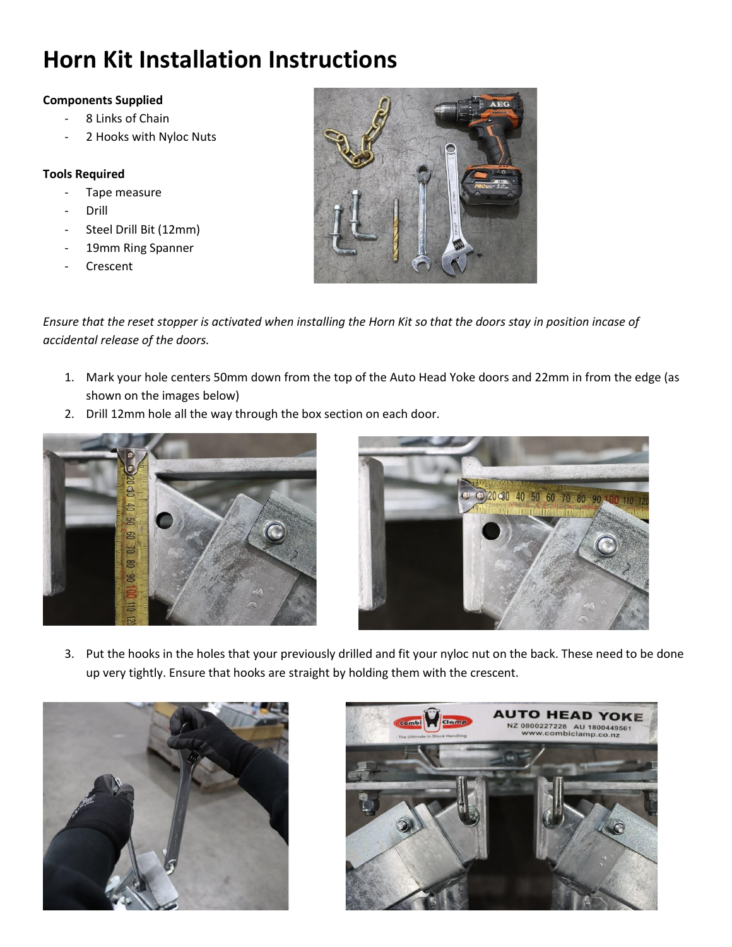## **Horn Kit Installation Instructions**

## **Components Supplied**

- 8 Links of Chain
- 2 Hooks with Nyloc Nuts

## **Tools Required**

- Tape measure
- **Drill**
- Steel Drill Bit (12mm)
- 19mm Ring Spanner
- Crescent



*Ensure that the reset stopper is activated when installing the Horn Kit so that the doors stay in position incase of accidental release of the doors.*

- 1. Mark your hole centers 50mm down from the top of the Auto Head Yoke doors and 22mm in from the edge (as shown on the images below)
- 2. Drill 12mm hole all the way through the box section on each door.





3. Put the hooks in the holes that your previously drilled and fit your nyloc nut on the back. These need to be done up very tightly. Ensure that hooks are straight by holding them with the crescent.